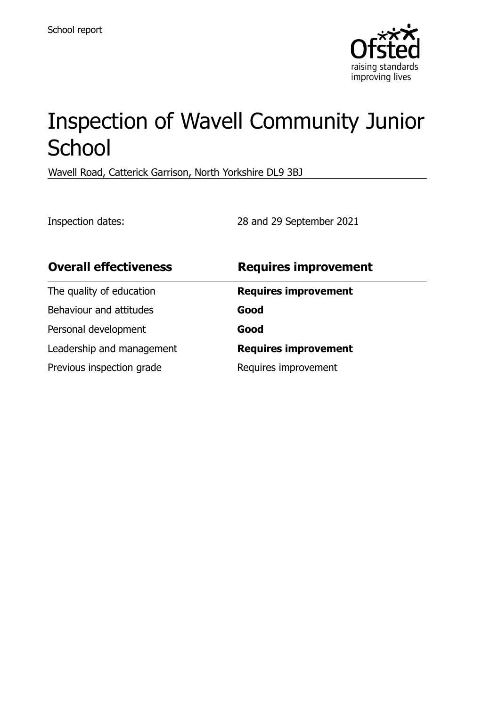

# Inspection of Wavell Community Junior **School**

Wavell Road, Catterick Garrison, North Yorkshire DL9 3BJ

Inspection dates: 28 and 29 September 2021

| <b>Overall effectiveness</b> | <b>Requires improvement</b> |
|------------------------------|-----------------------------|
| The quality of education     | <b>Requires improvement</b> |
| Behaviour and attitudes      | Good                        |
| Personal development         | Good                        |
| Leadership and management    | <b>Requires improvement</b> |
| Previous inspection grade    | Requires improvement        |
|                              |                             |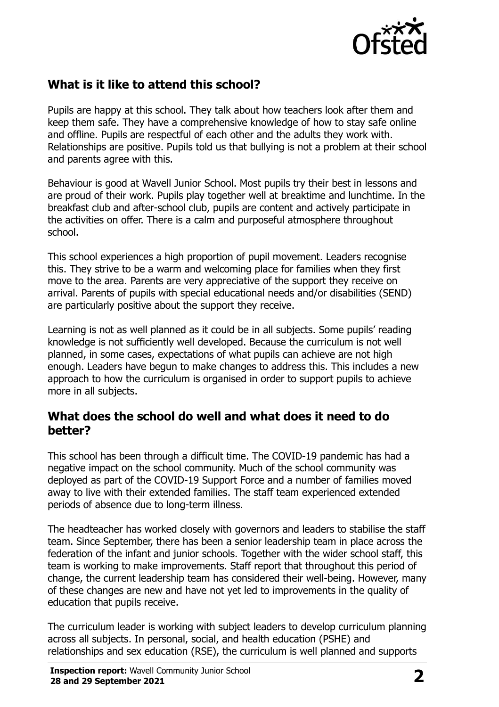

# **What is it like to attend this school?**

Pupils are happy at this school. They talk about how teachers look after them and keep them safe. They have a comprehensive knowledge of how to stay safe online and offline. Pupils are respectful of each other and the adults they work with. Relationships are positive. Pupils told us that bullying is not a problem at their school and parents agree with this.

Behaviour is good at Wavell Junior School. Most pupils try their best in lessons and are proud of their work. Pupils play together well at breaktime and lunchtime. In the breakfast club and after-school club, pupils are content and actively participate in the activities on offer. There is a calm and purposeful atmosphere throughout school.

This school experiences a high proportion of pupil movement. Leaders recognise this. They strive to be a warm and welcoming place for families when they first move to the area. Parents are very appreciative of the support they receive on arrival. Parents of pupils with special educational needs and/or disabilities (SEND) are particularly positive about the support they receive.

Learning is not as well planned as it could be in all subjects. Some pupils' reading knowledge is not sufficiently well developed. Because the curriculum is not well planned, in some cases, expectations of what pupils can achieve are not high enough. Leaders have begun to make changes to address this. This includes a new approach to how the curriculum is organised in order to support pupils to achieve more in all subjects.

#### **What does the school do well and what does it need to do better?**

This school has been through a difficult time. The COVID-19 pandemic has had a negative impact on the school community. Much of the school community was deployed as part of the COVID-19 Support Force and a number of families moved away to live with their extended families. The staff team experienced extended periods of absence due to long-term illness.

The headteacher has worked closely with governors and leaders to stabilise the staff team. Since September, there has been a senior leadership team in place across the federation of the infant and junior schools. Together with the wider school staff, this team is working to make improvements. Staff report that throughout this period of change, the current leadership team has considered their well-being. However, many of these changes are new and have not yet led to improvements in the quality of education that pupils receive.

The curriculum leader is working with subject leaders to develop curriculum planning across all subjects. In personal, social, and health education (PSHE) and relationships and sex education (RSE), the curriculum is well planned and supports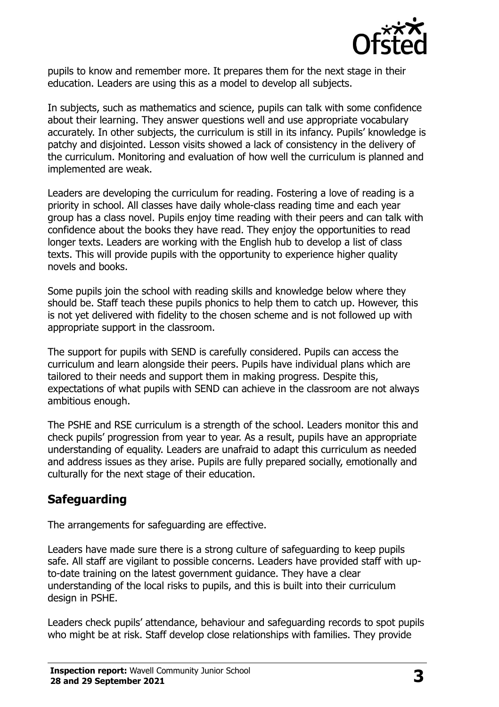

pupils to know and remember more. It prepares them for the next stage in their education. Leaders are using this as a model to develop all subjects.

In subjects, such as mathematics and science, pupils can talk with some confidence about their learning. They answer questions well and use appropriate vocabulary accurately. In other subjects, the curriculum is still in its infancy. Pupils' knowledge is patchy and disjointed. Lesson visits showed a lack of consistency in the delivery of the curriculum. Monitoring and evaluation of how well the curriculum is planned and implemented are weak.

Leaders are developing the curriculum for reading. Fostering a love of reading is a priority in school. All classes have daily whole-class reading time and each year group has a class novel. Pupils enjoy time reading with their peers and can talk with confidence about the books they have read. They enjoy the opportunities to read longer texts. Leaders are working with the English hub to develop a list of class texts. This will provide pupils with the opportunity to experience higher quality novels and books.

Some pupils join the school with reading skills and knowledge below where they should be. Staff teach these pupils phonics to help them to catch up. However, this is not yet delivered with fidelity to the chosen scheme and is not followed up with appropriate support in the classroom.

The support for pupils with SEND is carefully considered. Pupils can access the curriculum and learn alongside their peers. Pupils have individual plans which are tailored to their needs and support them in making progress. Despite this, expectations of what pupils with SEND can achieve in the classroom are not always ambitious enough.

The PSHE and RSE curriculum is a strength of the school. Leaders monitor this and check pupils' progression from year to year. As a result, pupils have an appropriate understanding of equality. Leaders are unafraid to adapt this curriculum as needed and address issues as they arise. Pupils are fully prepared socially, emotionally and culturally for the next stage of their education.

## **Safeguarding**

The arrangements for safeguarding are effective.

Leaders have made sure there is a strong culture of safeguarding to keep pupils safe. All staff are vigilant to possible concerns. Leaders have provided staff with upto-date training on the latest government guidance. They have a clear understanding of the local risks to pupils, and this is built into their curriculum design in PSHE.

Leaders check pupils' attendance, behaviour and safeguarding records to spot pupils who might be at risk. Staff develop close relationships with families. They provide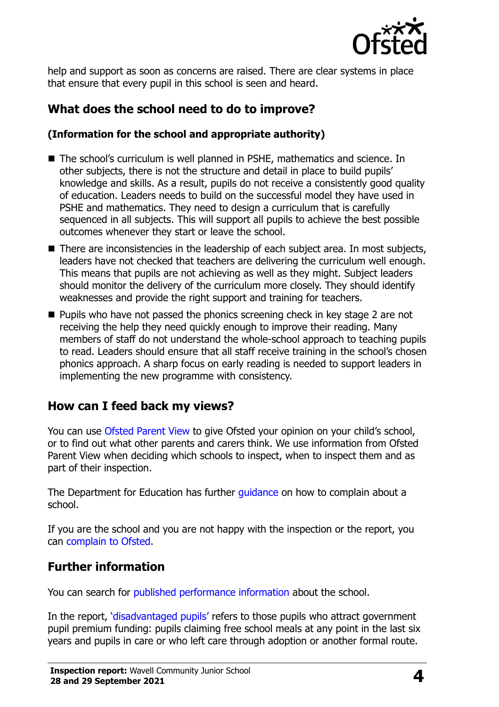

help and support as soon as concerns are raised. There are clear systems in place that ensure that every pupil in this school is seen and heard.

# **What does the school need to do to improve?**

#### **(Information for the school and appropriate authority)**

- The school's curriculum is well planned in PSHE, mathematics and science. In other subjects, there is not the structure and detail in place to build pupils' knowledge and skills. As a result, pupils do not receive a consistently good quality of education. Leaders needs to build on the successful model they have used in PSHE and mathematics. They need to design a curriculum that is carefully sequenced in all subjects. This will support all pupils to achieve the best possible outcomes whenever they start or leave the school.
- There are inconsistencies in the leadership of each subject area. In most subjects, leaders have not checked that teachers are delivering the curriculum well enough. This means that pupils are not achieving as well as they might. Subject leaders should monitor the delivery of the curriculum more closely. They should identify weaknesses and provide the right support and training for teachers.
- Pupils who have not passed the phonics screening check in key stage 2 are not receiving the help they need quickly enough to improve their reading. Many members of staff do not understand the whole-school approach to teaching pupils to read. Leaders should ensure that all staff receive training in the school's chosen phonics approach. A sharp focus on early reading is needed to support leaders in implementing the new programme with consistency.

## **How can I feed back my views?**

You can use [Ofsted Parent View](http://parentview.ofsted.gov.uk/) to give Ofsted your opinion on your child's school, or to find out what other parents and carers think. We use information from Ofsted Parent View when deciding which schools to inspect, when to inspect them and as part of their inspection.

The Department for Education has further quidance on how to complain about a school.

If you are the school and you are not happy with the inspection or the report, you can [complain to Ofsted.](http://www.gov.uk/complain-ofsted-report)

## **Further information**

You can search for [published performance information](http://www.compare-school-performance.service.gov.uk/) about the school.

In the report, '[disadvantaged pupils](http://www.gov.uk/guidance/pupil-premium-information-for-schools-and-alternative-provision-settings)' refers to those pupils who attract government pupil premium funding: pupils claiming free school meals at any point in the last six years and pupils in care or who left care through adoption or another formal route.

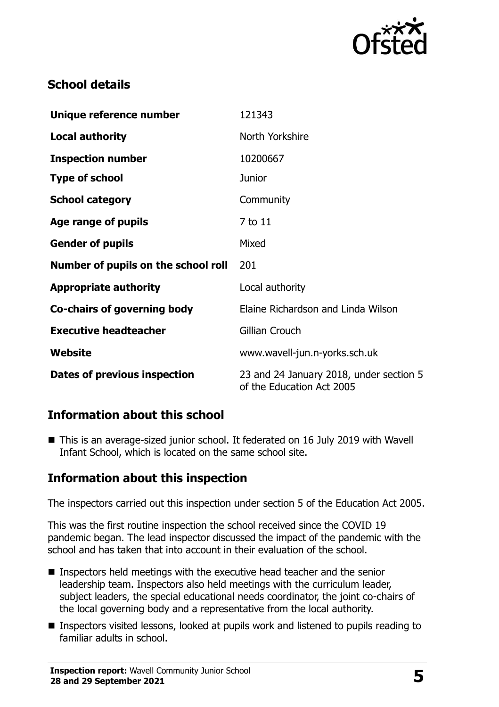

# **School details**

| Unique reference number             | 121343                                                               |
|-------------------------------------|----------------------------------------------------------------------|
| <b>Local authority</b>              | North Yorkshire                                                      |
| <b>Inspection number</b>            | 10200667                                                             |
| <b>Type of school</b>               | Junior                                                               |
| <b>School category</b>              | Community                                                            |
| Age range of pupils                 | 7 to 11                                                              |
| <b>Gender of pupils</b>             | Mixed                                                                |
| Number of pupils on the school roll | 201                                                                  |
| <b>Appropriate authority</b>        | Local authority                                                      |
| Co-chairs of governing body         | Elaine Richardson and Linda Wilson                                   |
| <b>Executive headteacher</b>        | Gillian Crouch                                                       |
| Website                             | www.wavell-jun.n-yorks.sch.uk                                        |
| Dates of previous inspection        | 23 and 24 January 2018, under section 5<br>of the Education Act 2005 |

## **Information about this school**

■ This is an average-sized junior school. It federated on 16 July 2019 with Wavell Infant School, which is located on the same school site.

## **Information about this inspection**

The inspectors carried out this inspection under section 5 of the Education Act 2005.

This was the first routine inspection the school received since the COVID 19 pandemic began. The lead inspector discussed the impact of the pandemic with the school and has taken that into account in their evaluation of the school.

- Inspectors held meetings with the executive head teacher and the senior leadership team. Inspectors also held meetings with the curriculum leader, subject leaders, the special educational needs coordinator, the joint co-chairs of the local governing body and a representative from the local authority.
- Inspectors visited lessons, looked at pupils work and listened to pupils reading to familiar adults in school.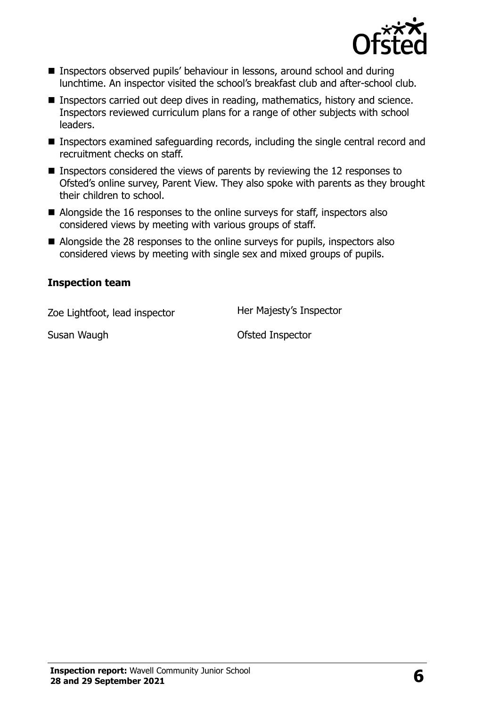

- Inspectors observed pupils' behaviour in lessons, around school and during lunchtime. An inspector visited the school's breakfast club and after-school club.
- Inspectors carried out deep dives in reading, mathematics, history and science. Inspectors reviewed curriculum plans for a range of other subjects with school leaders.
- Inspectors examined safeguarding records, including the single central record and recruitment checks on staff.
- Inspectors considered the views of parents by reviewing the 12 responses to Ofsted's online survey, Parent View. They also spoke with parents as they brought their children to school.
- Alongside the 16 responses to the online surveys for staff, inspectors also considered views by meeting with various groups of staff.
- Alongside the 28 responses to the online surveys for pupils, inspectors also considered views by meeting with single sex and mixed groups of pupils.

#### **Inspection team**

Zoe Lightfoot, lead inspector **Her Majesty's Inspector** 

Susan Waugh **Calculation Control** Control Ofsted Inspector